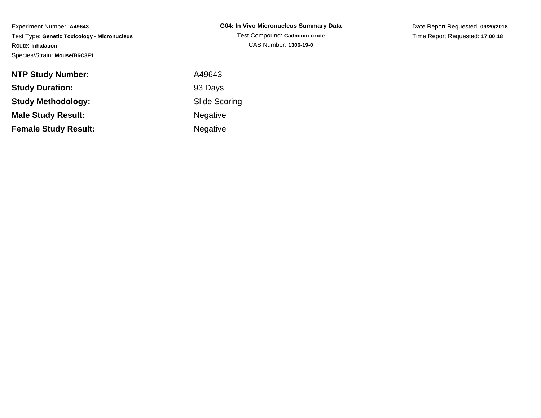Experiment Number: **A49643** Test Type: **Genetic Toxicology - Micronucleus**Route: **Inhalation**Species/Strain: **Mouse/B6C3F1**

| G04: In Vivo Micronucleus Summary Data |
|----------------------------------------|
| Test Compound: Cadmium oxide           |
| CAS Number: 1306-19-0                  |

Date Report Requested: **09/20/2018**Time Report Requested: **17:00:18**

| <b>NTP Study Number:</b>    | A49643               |
|-----------------------------|----------------------|
| <b>Study Duration:</b>      | 93 Days              |
| <b>Study Methodology:</b>   | <b>Slide Scoring</b> |
| <b>Male Study Result:</b>   | <b>Negative</b>      |
| <b>Female Study Result:</b> | <b>Negative</b>      |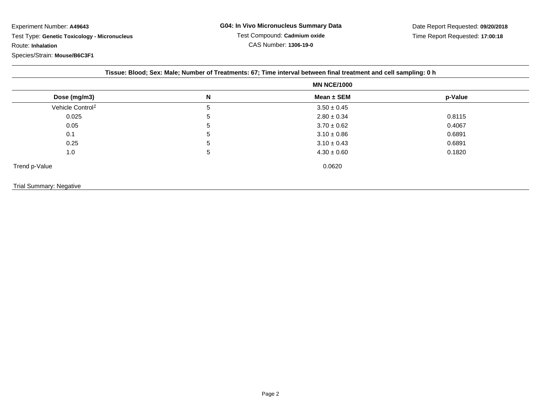Experiment Number: **A49643** Test Type: **Genetic Toxicology - Micronucleus**Route: **Inhalation**

Species/Strain: **Mouse/B6C3F1**

|  | Tissue: Blood; Sex: Male; Number of Treatments: 67; Time interval between final treatment and cell sampling: 0 h |
|--|------------------------------------------------------------------------------------------------------------------|
|  |                                                                                                                  |

|                              |   | <b>MN NCE/1000</b> |         |  |
|------------------------------|---|--------------------|---------|--|
| Dose (mg/m3)                 | N | Mean $\pm$ SEM     | p-Value |  |
| Vehicle Control <sup>1</sup> | 5 | $3.50 \pm 0.45$    |         |  |
| 0.025                        | 5 | $2.80 \pm 0.34$    | 0.8115  |  |
| 0.05                         | 5 | $3.70 \pm 0.62$    | 0.4067  |  |
| 0.1                          | 5 | $3.10 \pm 0.86$    | 0.6891  |  |
| 0.25                         | 5 | $3.10 \pm 0.43$    | 0.6891  |  |
| 1.0                          | 5 | $4.30 \pm 0.60$    | 0.1820  |  |
| Trend p-Value                |   | 0.0620             |         |  |

## Trial Summary: Negative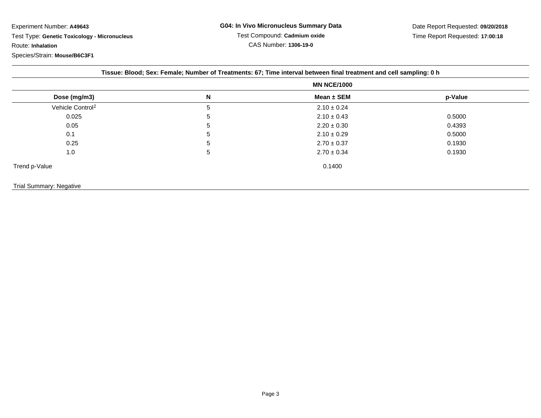Experiment Number: **A49643**Test Type: **Genetic Toxicology - Micronucleus**

Route: **Inhalation**

Species/Strain: **Mouse/B6C3F1**

| Tissue: Blood; Sex: Female; Number of Treatments: 67; Time interval between final treatment and cell sampling: 0 h |   |                    |         |  |
|--------------------------------------------------------------------------------------------------------------------|---|--------------------|---------|--|
|                                                                                                                    |   | <b>MN NCE/1000</b> |         |  |
| Dose (mg/m3)                                                                                                       | N | Mean $\pm$ SEM     | p-Value |  |
| Vehicle Control <sup>1</sup>                                                                                       | 5 | $2.10 \pm 0.24$    |         |  |
| 0.025                                                                                                              | 5 | $2.10 \pm 0.43$    | 0.5000  |  |
| 0.05                                                                                                               | 5 | $2.20 \pm 0.30$    | 0.4393  |  |
| 0.1                                                                                                                | 5 | $2.10 \pm 0.29$    | 0.5000  |  |
| 0.25                                                                                                               | 5 | $2.70 \pm 0.37$    | 0.1930  |  |
| 1.0                                                                                                                | 5 | $2.70 \pm 0.34$    | 0.1930  |  |
| Trend p-Value                                                                                                      |   | 0.1400             |         |  |
| Trial Summary: Negative                                                                                            |   |                    |         |  |